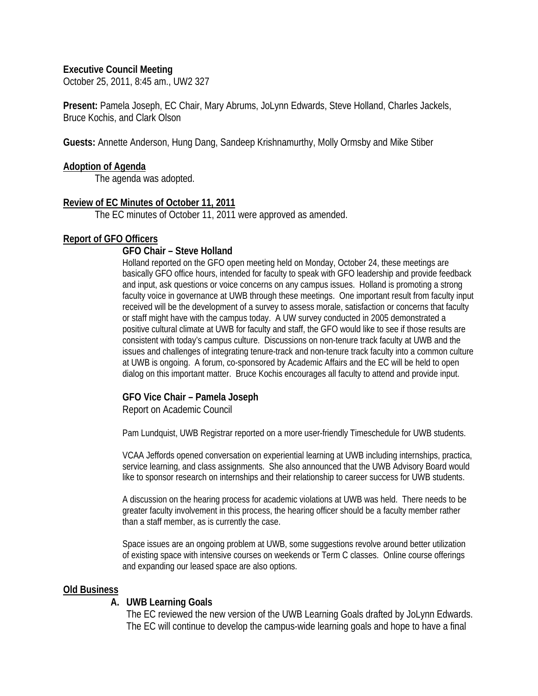#### **Executive Council Meeting**

October 25, 2011, 8:45 am., UW2 327

**Present:** Pamela Joseph, EC Chair, Mary Abrums, JoLynn Edwards, Steve Holland, Charles Jackels, Bruce Kochis, and Clark Olson

**Guests:** Annette Anderson, Hung Dang, Sandeep Krishnamurthy, Molly Ormsby and Mike Stiber

#### **Adoption of Agenda**

The agenda was adopted.

#### **Review of EC Minutes of October 11, 2011**

The EC minutes of October 11, 2011 were approved as amended.

#### **Report of GFO Officers**

#### **GFO Chair – Steve Holland**

Holland reported on the GFO open meeting held on Monday, October 24, these meetings are basically GFO office hours, intended for faculty to speak with GFO leadership and provide feedback and input, ask questions or voice concerns on any campus issues. Holland is promoting a strong faculty voice in governance at UWB through these meetings. One important result from faculty input received will be the development of a survey to assess morale, satisfaction or concerns that faculty or staff might have with the campus today. A UW survey conducted in 2005 demonstrated a positive cultural climate at UWB for faculty and staff, the GFO would like to see if those results are consistent with today's campus culture. Discussions on non-tenure track faculty at UWB and the issues and challenges of integrating tenure-track and non-tenure track faculty into a common culture at UWB is ongoing. A forum, co-sponsored by Academic Affairs and the EC will be held to open dialog on this important matter. Bruce Kochis encourages all faculty to attend and provide input.

#### **GFO Vice Chair – Pamela Joseph**

Report on Academic Council

Pam Lundquist, UWB Registrar reported on a more user-friendly Timeschedule for UWB students.

VCAA Jeffords opened conversation on experiential learning at UWB including internships, practica, service learning, and class assignments. She also announced that the UWB Advisory Board would like to sponsor research on internships and their relationship to career success for UWB students.

A discussion on the hearing process for academic violations at UWB was held. There needs to be greater faculty involvement in this process, the hearing officer should be a faculty member rather than a staff member, as is currently the case.

Space issues are an ongoing problem at UWB, some suggestions revolve around better utilization of existing space with intensive courses on weekends or Term C classes. Online course offerings and expanding our leased space are also options.

#### **Old Business**

#### **A. UWB Learning Goals**

The EC reviewed the new version of the UWB Learning Goals drafted by JoLynn Edwards. The EC will continue to develop the campus-wide learning goals and hope to have a final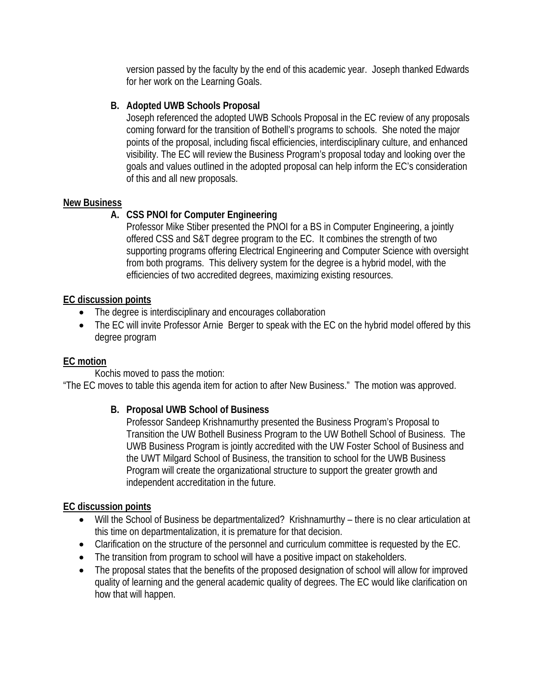version passed by the faculty by the end of this academic year. Joseph thanked Edwards for her work on the Learning Goals.

## **B. Adopted UWB Schools Proposal**

Joseph referenced the adopted UWB Schools Proposal in the EC review of any proposals coming forward for the transition of Bothell's programs to schools. She noted the major points of the proposal, including fiscal efficiencies, interdisciplinary culture, and enhanced visibility. The EC will review the Business Program's proposal today and looking over the goals and values outlined in the adopted proposal can help inform the EC's consideration of this and all new proposals.

## **New Business**

# **A. CSS PNOI for Computer Engineering**

Professor Mike Stiber presented the PNOI for a BS in Computer Engineering, a jointly offered CSS and S&T degree program to the EC. It combines the strength of two supporting programs offering Electrical Engineering and Computer Science with oversight from both programs. This delivery system for the degree is a hybrid model, with the efficiencies of two accredited degrees, maximizing existing resources.

### **EC discussion points**

- The degree is interdisciplinary and encourages collaboration
- The EC will invite Professor Arnie Berger to speak with the EC on the hybrid model offered by this degree program

# **EC motion**

Kochis moved to pass the motion:

"The EC moves to table this agenda item for action to after New Business." The motion was approved.

# **B. Proposal UWB School of Business**

Professor Sandeep Krishnamurthy presented the Business Program's Proposal to Transition the UW Bothell Business Program to the UW Bothell School of Business.The UWB Business Program is jointly accredited with the UW Foster School of Business and the UWT Milgard School of Business, the transition to school for the UWB Business Program will create the organizational structure to support the greater growth and independent accreditation in the future.

### **EC discussion points**

- Will the School of Business be departmentalized? Krishnamurthy there is no clear articulation at this time on departmentalization, it is premature for that decision.
- Clarification on the structure of the personnel and curriculum committee is requested by the EC.
- The transition from program to school will have a positive impact on stakeholders.
- The proposal states that the benefits of the proposed designation of school will allow for improved quality of learning and the general academic quality of degrees. The EC would like clarification on how that will happen.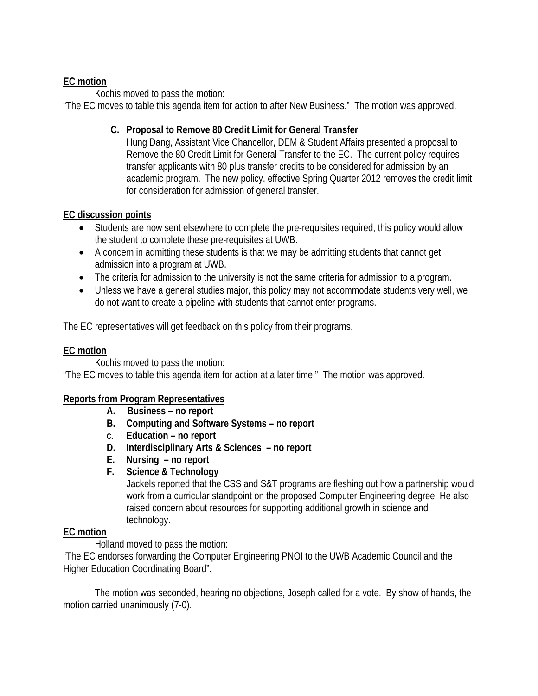## **EC motion**

Kochis moved to pass the motion:

"The EC moves to table this agenda item for action to after New Business." The motion was approved.

## **C. Proposal to Remove 80 Credit Limit for General Transfer**

Hung Dang, Assistant Vice Chancellor, DEM & Student Affairs presented a proposal to Remove the 80 Credit Limit for General Transfer to the EC. The current policy requires transfer applicants with 80 plus transfer credits to be considered for admission by an academic program. The new policy, effective Spring Quarter 2012 removes the credit limit for consideration for admission of general transfer.

## **EC discussion points**

- Students are now sent elsewhere to complete the pre-requisites required, this policy would allow the student to complete these pre-requisites at UWB.
- A concern in admitting these students is that we may be admitting students that cannot get admission into a program at UWB.
- The criteria for admission to the university is not the same criteria for admission to a program.
- Unless we have a general studies major, this policy may not accommodate students very well, we do not want to create a pipeline with students that cannot enter programs.

The EC representatives will get feedback on this policy from their programs.

### **EC motion**

Kochis moved to pass the motion: "The EC moves to table this agenda item for action at a later time." The motion was approved.

### **Reports from Program Representatives**

- **A. Business no report**
- **B. Computing and Software Systems no report**
- **C. Education no report**
- **D. Interdisciplinary Arts & Sciences no report**
- **E. Nursing no report**
- **F. Science & Technology**

Jackels reported that the CSS and S&T programs are fleshing out how a partnership would work from a curricular standpoint on the proposed Computer Engineering degree. He also raised concern about resources for supporting additional growth in science and technology.

### **EC motion**

Holland moved to pass the motion:

"The EC endorses forwarding the Computer Engineering PNOI to the UWB Academic Council and the Higher Education Coordinating Board".

The motion was seconded, hearing no objections, Joseph called for a vote. By show of hands, the motion carried unanimously (7-0).